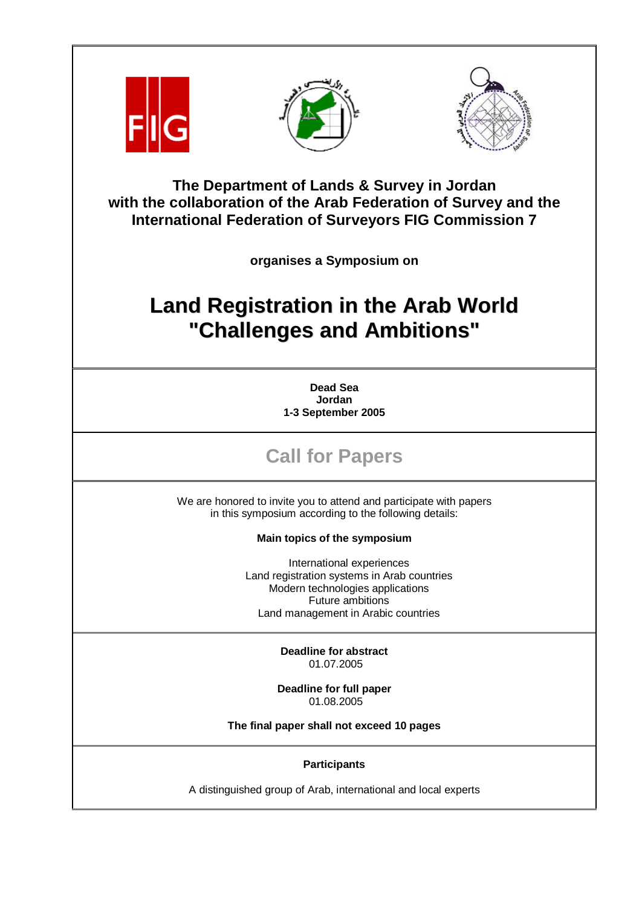





**The Department of Lands & Survey in Jordan with the collaboration of the Arab Federation of Survey and the International Federation of Surveyors FIG Commission 7** 

**organises a Symposium on** 

## **Land Registration in the Arab World "Challenges and Ambitions"**

**Dead Sea Jordan 1-3 September 2005** 

## **Call for Papers**

We are honored to invite you to attend and participate with papers in this symposium according to the following details:

**Main topics of the symposium** 

International experiences Land registration systems in Arab countries Modern technologies applications Future ambitions Land management in Arabic countries

> **Deadline for abstract**  01.07.2005

**Deadline for full paper**  01.08.2005

**The final paper shall not exceed 10 pages** 

**Participants** 

A distinguished group of Arab, international and local experts